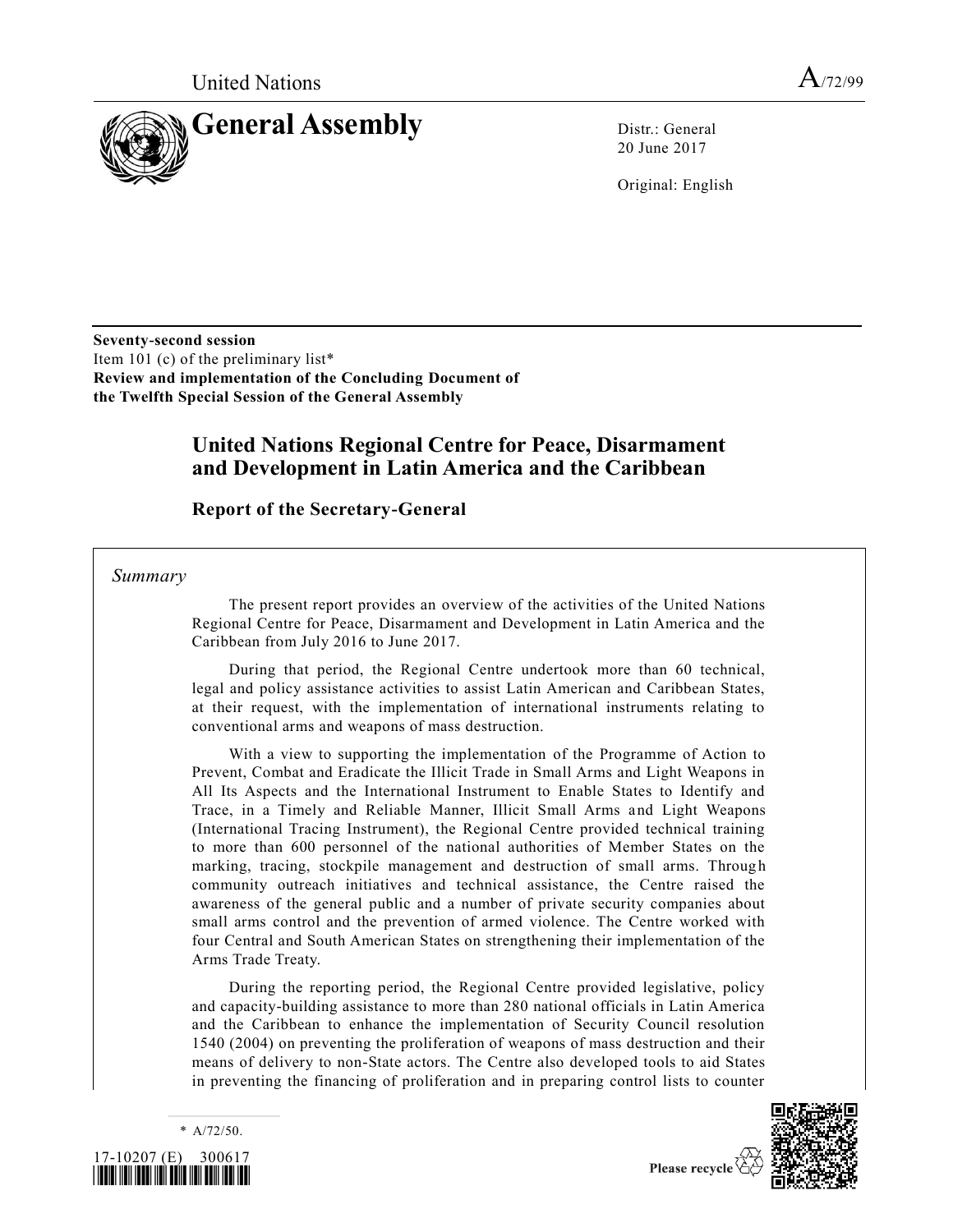

20 June 2017

Original: English

**Seventy-second session** Item 101 (c) of the preliminary list\* **Review and implementation of the Concluding Document of the Twelfth Special Session of the General Assembly**

## **United Nations Regional Centre for Peace, Disarmament and Development in Latin America and the Caribbean**

**Report of the Secretary-General**

*Summary*

The present report provides an overview of the activities of the United Nations Regional Centre for Peace, Disarmament and Development in Latin America and the Caribbean from July 2016 to June 2017.

During that period, the Regional Centre undertook more than 60 technical, legal and policy assistance activities to assist Latin American and Caribbean States, at their request, with the implementation of international instruments relating to conventional arms and weapons of mass destruction.

With a view to supporting the implementation of the Programme of Action to Prevent, Combat and Eradicate the Illicit Trade in Small Arms and Light Weapons in All Its Aspects and the International Instrument to Enable States to Identify and Trace, in a Timely and Reliable Manner, Illicit Small Arms and Light Weapons (International Tracing Instrument), the Regional Centre provided technical training to more than 600 personnel of the national authorities of Member States on the marking, tracing, stockpile management and destruction of small arms. Through community outreach initiatives and technical assistance, the Centre raised the awareness of the general public and a number of private security companies about small arms control and the prevention of armed violence. The Centre worked with four Central and South American States on strengthening their implementation of the Arms Trade Treaty.

During the reporting period, the Regional Centre provided legislative, policy and capacity-building assistance to more than 280 national officials in Latin America and the Caribbean to enhance the implementation of Security Council resolution [1540 \(2004\)](https://undocs.org/S/RES/1540(2004)) on preventing the proliferation of weapons of mass destruction and their means of delivery to non-State actors. The Centre also developed tools to aid States in preventing the financing of proliferation and in preparing control lists to counter



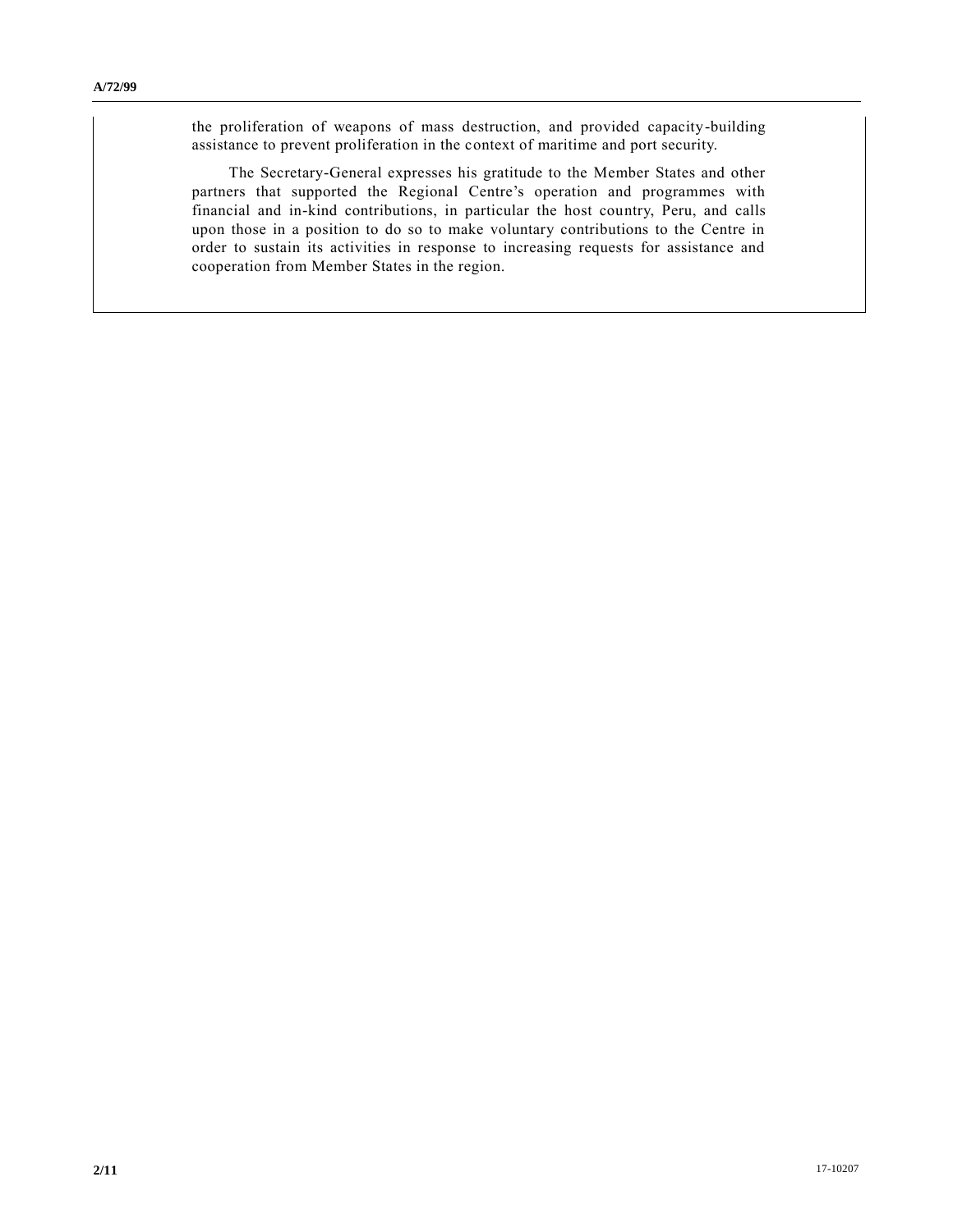the proliferation of weapons of mass destruction, and provided capacity-building assistance to prevent proliferation in the context of maritime and port security.

The Secretary-General expresses his gratitude to the Member States and other partners that supported the Regional Centre's operation and programmes with financial and in-kind contributions, in particular the host country, Peru, and calls upon those in a position to do so to make voluntary contributions to the Centre in order to sustain its activities in response to increasing requests for assistance and cooperation from Member States in the region.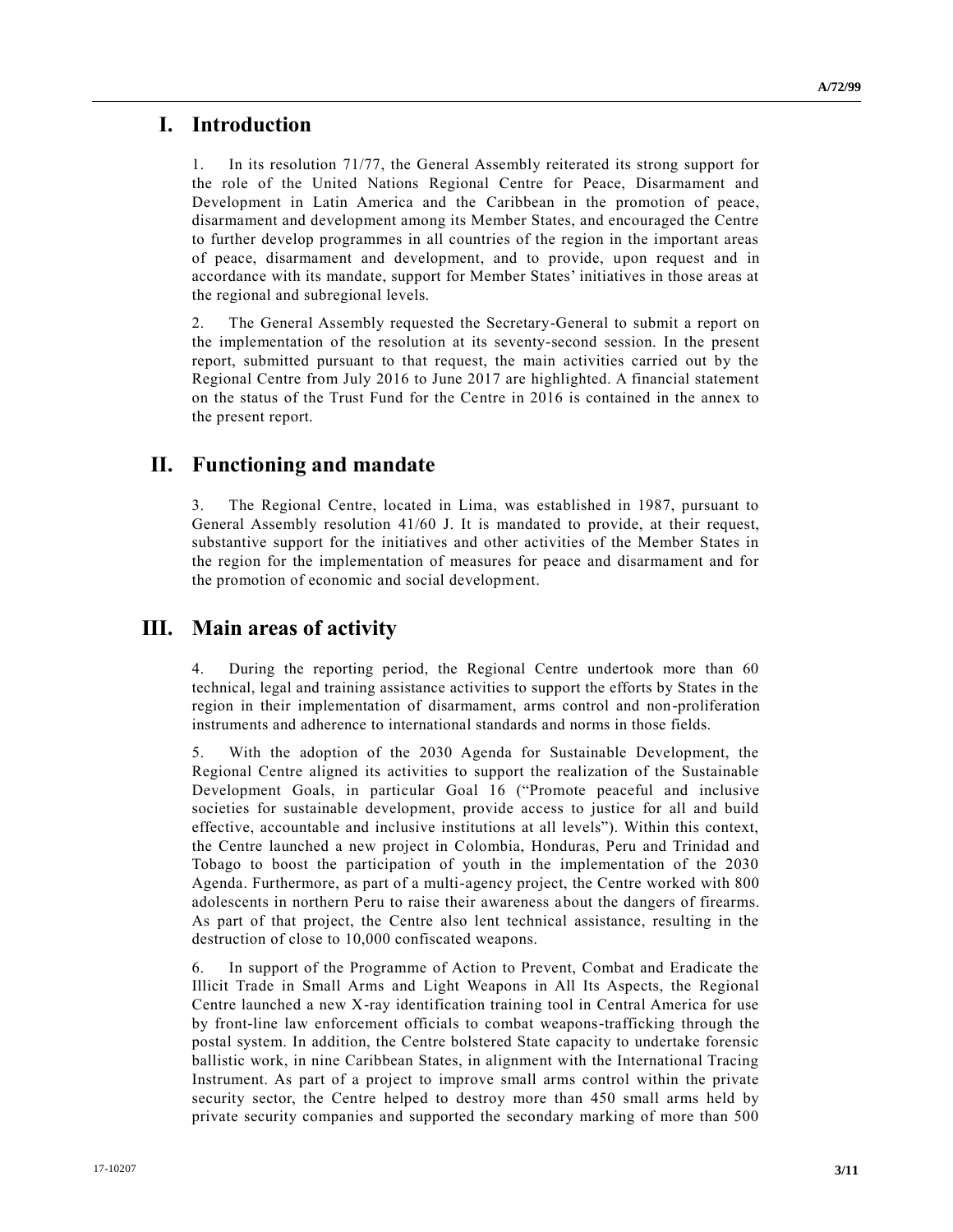## **I. Introduction**

1. In its resolution [71/77,](https://undocs.org/A/RES/71/77) the General Assembly reiterated its strong support for the role of the United Nations Regional Centre for Peace, Disarmament and Development in Latin America and the Caribbean in the promotion of peace, disarmament and development among its Member States, and encouraged the Centre to further develop programmes in all countries of the region in the important areas of peace, disarmament and development, and to provide, upon request and in accordance with its mandate, support for Member States' initiatives in those areas at the regional and subregional levels.

2. The General Assembly requested the Secretary-General to submit a report on the implementation of the resolution at its seventy-second session. In the present report, submitted pursuant to that request, the main activities carried out by the Regional Centre from July 2016 to June 2017 are highlighted. A financial statement on the status of the Trust Fund for the Centre in 2016 is contained in the annex to the present report.

## **II. Functioning and mandate**

3. The Regional Centre, located in Lima, was established in 1987, pursuant to General Assembly resolution [41/60](https://undocs.org/A/RES/41/60) J. It is mandated to provide, at their request, substantive support for the initiatives and other activities of the Member States in the region for the implementation of measures for peace and disarmament and for the promotion of economic and social development.

# **III. Main areas of activity**

4. During the reporting period, the Regional Centre undertook more than 60 technical, legal and training assistance activities to support the efforts by States in the region in their implementation of disarmament, arms control and non-proliferation instruments and adherence to international standards and norms in those fields.

5. With the adoption of the 2030 Agenda for Sustainable Development, the Regional Centre aligned its activities to support the realization of the Sustainable Development Goals, in particular Goal 16 ("Promote peaceful and inclusive societies for sustainable development, provide access to justice for all and build effective, accountable and inclusive institutions at all levels"). Within this context, the Centre launched a new project in Colombia, Honduras, Peru and Trinidad and Tobago to boost the participation of youth in the implementation of the 2030 Agenda. Furthermore, as part of a multi-agency project, the Centre worked with 800 adolescents in northern Peru to raise their awareness about the dangers of firearms. As part of that project, the Centre also lent technical assistance, resulting in the destruction of close to 10,000 confiscated weapons.

6. In support of the Programme of Action to Prevent, Combat and Eradicate the Illicit Trade in Small Arms and Light Weapons in All Its Aspects, the Regional Centre launched a new X-ray identification training tool in Central America for use by front-line law enforcement officials to combat weapons-trafficking through the postal system. In addition, the Centre bolstered State capacity to undertake forensic ballistic work, in nine Caribbean States, in alignment with the International Tracing Instrument. As part of a project to improve small arms control within the private security sector, the Centre helped to destroy more than 450 small arms held by private security companies and supported the secondary marking of more than 500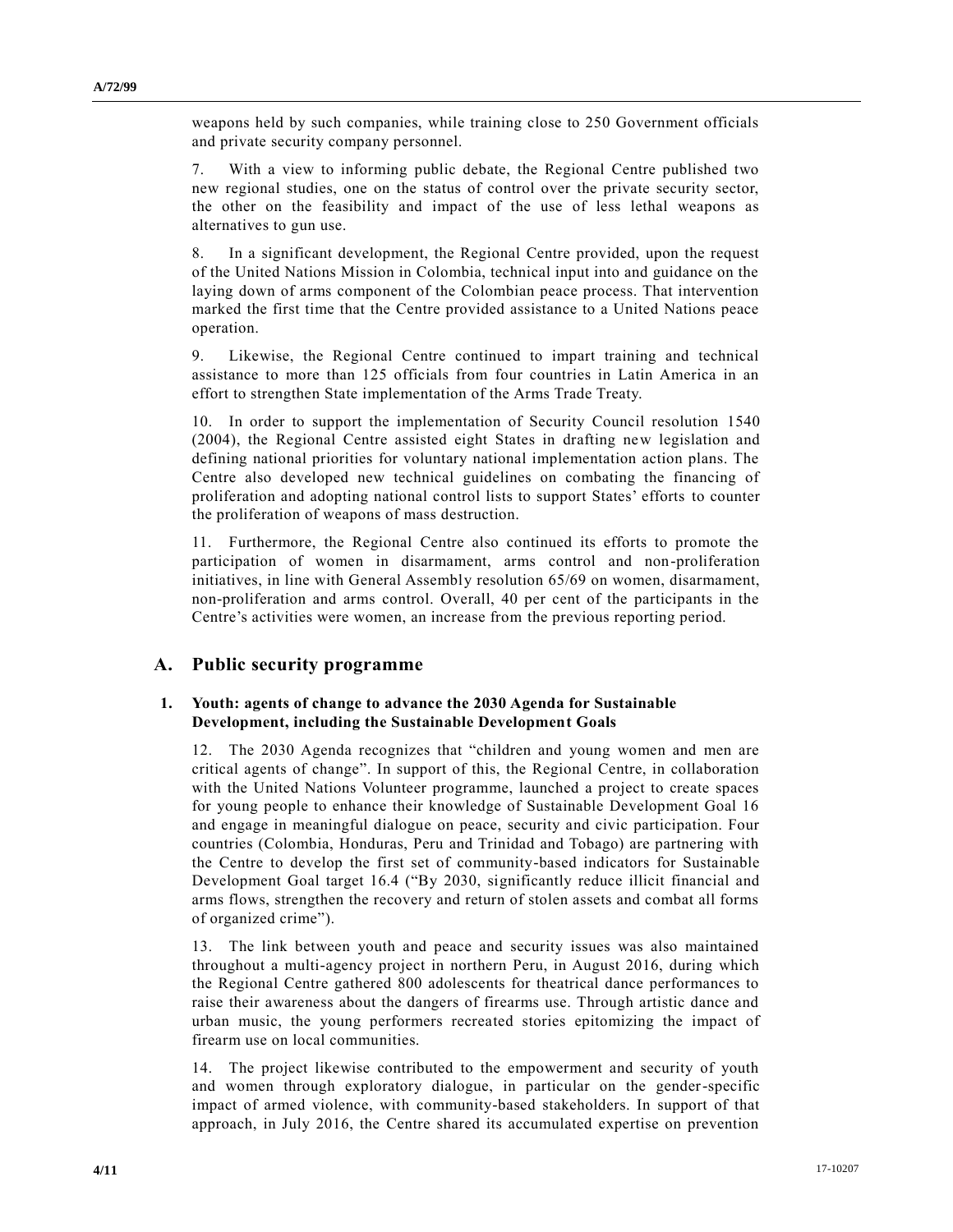weapons held by such companies, while training close to 250 Government officials and private security company personnel.

7. With a view to informing public debate, the Regional Centre published two new regional studies, one on the status of control over the private security sector, the other on the feasibility and impact of the use of less lethal weapons as alternatives to gun use.

8. In a significant development, the Regional Centre provided, upon the request of the United Nations Mission in Colombia, technical input into and guidance on the laying down of arms component of the Colombian peace process. That intervention marked the first time that the Centre provided assistance to a United Nations peace operation.

9. Likewise, the Regional Centre continued to impart training and technical assistance to more than 125 officials from four countries in Latin America in an effort to strengthen State implementation of the Arms Trade Treaty.

10. In order to support the implementation of Security Council resolution [1540](https://undocs.org/S/RES/1540(2004))  [\(2004\),](https://undocs.org/S/RES/1540(2004)) the Regional Centre assisted eight States in drafting new legislation and defining national priorities for voluntary national implementation action plans. The Centre also developed new technical guidelines on combating the financing of proliferation and adopting national control lists to support States' efforts to counter the proliferation of weapons of mass destruction.

11. Furthermore, the Regional Centre also continued its efforts to promote the participation of women in disarmament, arms control and non-proliferation initiatives, in line with General Assembly resolution [65/69](https://undocs.org/A/RES/65/69) on women, disarmament, non-proliferation and arms control. Overall, 40 per cent of the participants in the Centre's activities were women, an increase from the previous reporting period.

### **A. Public security programme**

#### **1. Youth: agents of change to advance the 2030 Agenda for Sustainable Development, including the Sustainable Development Goals**

12. The 2030 Agenda recognizes that "children and young women and men are critical agents of change". In support of this, the Regional Centre, in collaboration with the United Nations Volunteer programme, launched a project to create spaces for young people to enhance their knowledge of Sustainable Development Goal 16 and engage in meaningful dialogue on peace, security and civic participation. Four countries (Colombia, Honduras, Peru and Trinidad and Tobago) are partnering with the Centre to develop the first set of community-based indicators for Sustainable Development Goal target 16.4 ("By 2030, significantly reduce illicit financial and arms flows, strengthen the recovery and return of stolen assets and combat all forms of organized crime").

13. The link between youth and peace and security issues was also maintained throughout a multi-agency project in northern Peru, in August 2016, during which the Regional Centre gathered 800 adolescents for theatrical dance performances to raise their awareness about the dangers of firearms use. Through artistic dance and urban music, the young performers recreated stories epitomizing the impact of firearm use on local communities.

14. The project likewise contributed to the empowerment and security of youth and women through exploratory dialogue, in particular on the gender-specific impact of armed violence, with community-based stakeholders. In support of that approach, in July 2016, the Centre shared its accumulated expertise on prevention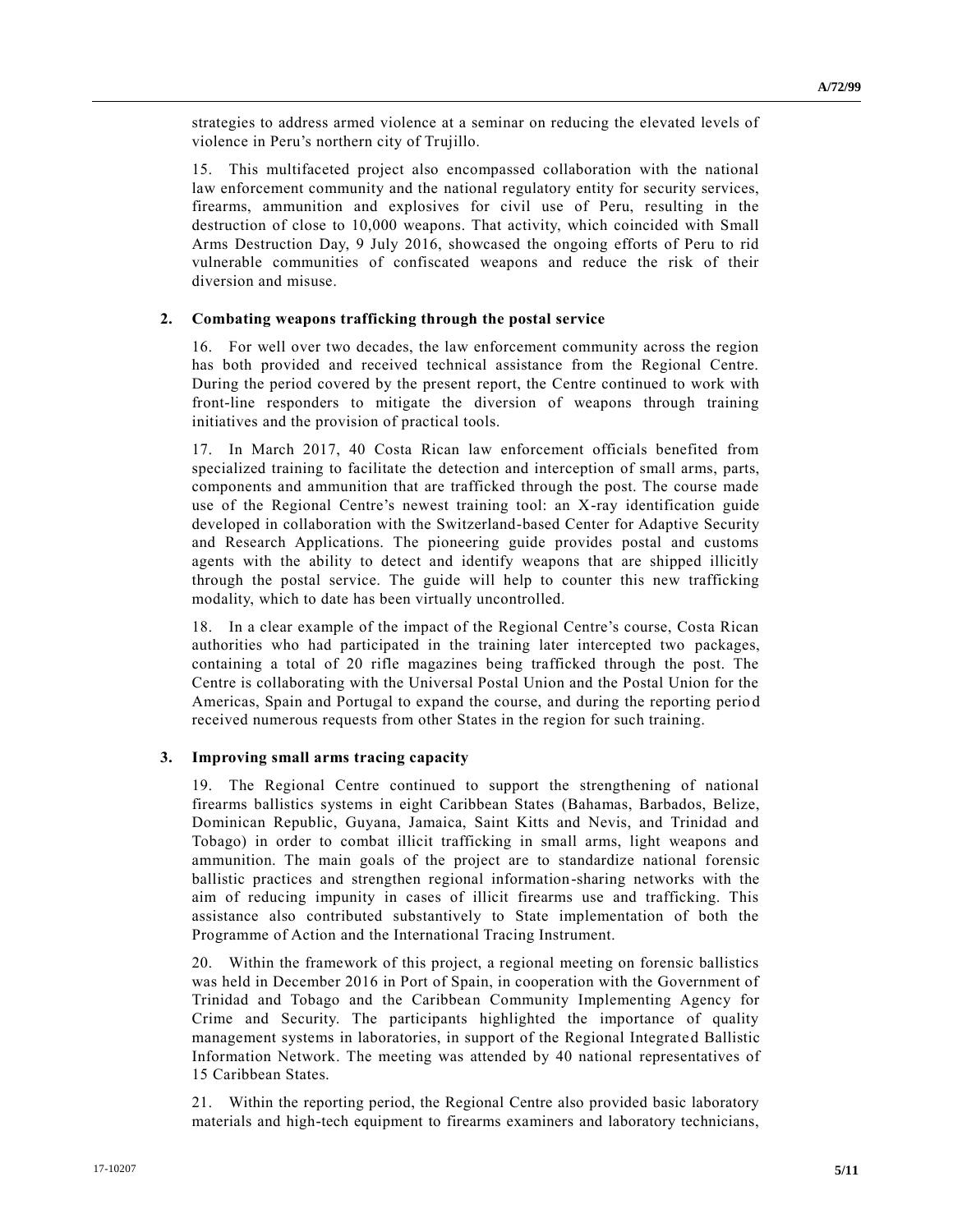strategies to address armed violence at a seminar on reducing the elevated levels of violence in Peru's northern city of Trujillo.

15. This multifaceted project also encompassed collaboration with the national law enforcement community and the national regulatory entity for security services, firearms, ammunition and explosives for civil use of Peru, resulting in the destruction of close to 10,000 weapons. That activity, which coincided with Small Arms Destruction Day, 9 July 2016, showcased the ongoing efforts of Peru to rid vulnerable communities of confiscated weapons and reduce the risk of their diversion and misuse.

#### **2. Combating weapons trafficking through the postal service**

16. For well over two decades, the law enforcement community across the region has both provided and received technical assistance from the Regional Centre. During the period covered by the present report, the Centre continued to work with front-line responders to mitigate the diversion of weapons through training initiatives and the provision of practical tools.

17. In March 2017, 40 Costa Rican law enforcement officials benefited from specialized training to facilitate the detection and interception of small arms, parts, components and ammunition that are trafficked through the post. The course made use of the Regional Centre's newest training tool: an X-ray identification guide developed in collaboration with the Switzerland-based Center for Adaptive Security and Research Applications. The pioneering guide provides postal and customs agents with the ability to detect and identify weapons that are shipped illicitly through the postal service. The guide will help to counter this new trafficking modality, which to date has been virtually uncontrolled.

18. In a clear example of the impact of the Regional Centre's course, Costa Rican authorities who had participated in the training later intercepted two packages, containing a total of 20 rifle magazines being trafficked through the post. The Centre is collaborating with the Universal Postal Union and the Postal Union for the Americas, Spain and Portugal to expand the course, and during the reporting perio d received numerous requests from other States in the region for such training.

### **3. Improving small arms tracing capacity**

19. The Regional Centre continued to support the strengthening of national firearms ballistics systems in eight Caribbean States (Bahamas, Barbados, Belize, Dominican Republic, Guyana, Jamaica, Saint Kitts and Nevis, and Trinidad and Tobago) in order to combat illicit trafficking in small arms, light weapons and ammunition. The main goals of the project are to standardize national forensic ballistic practices and strengthen regional information-sharing networks with the aim of reducing impunity in cases of illicit firearms use and trafficking. This assistance also contributed substantively to State implementation of both the Programme of Action and the International Tracing Instrument.

20. Within the framework of this project, a regional meeting on forensic ballistics was held in December 2016 in Port of Spain, in cooperation with the Government of Trinidad and Tobago and the Caribbean Community Implementing Agency for Crime and Security. The participants highlighted the importance of quality management systems in laboratories, in support of the Regional Integrated Ballistic Information Network. The meeting was attended by 40 national representatives of 15 Caribbean States.

21. Within the reporting period, the Regional Centre also provided basic laboratory materials and high-tech equipment to firearms examiners and laboratory technicians,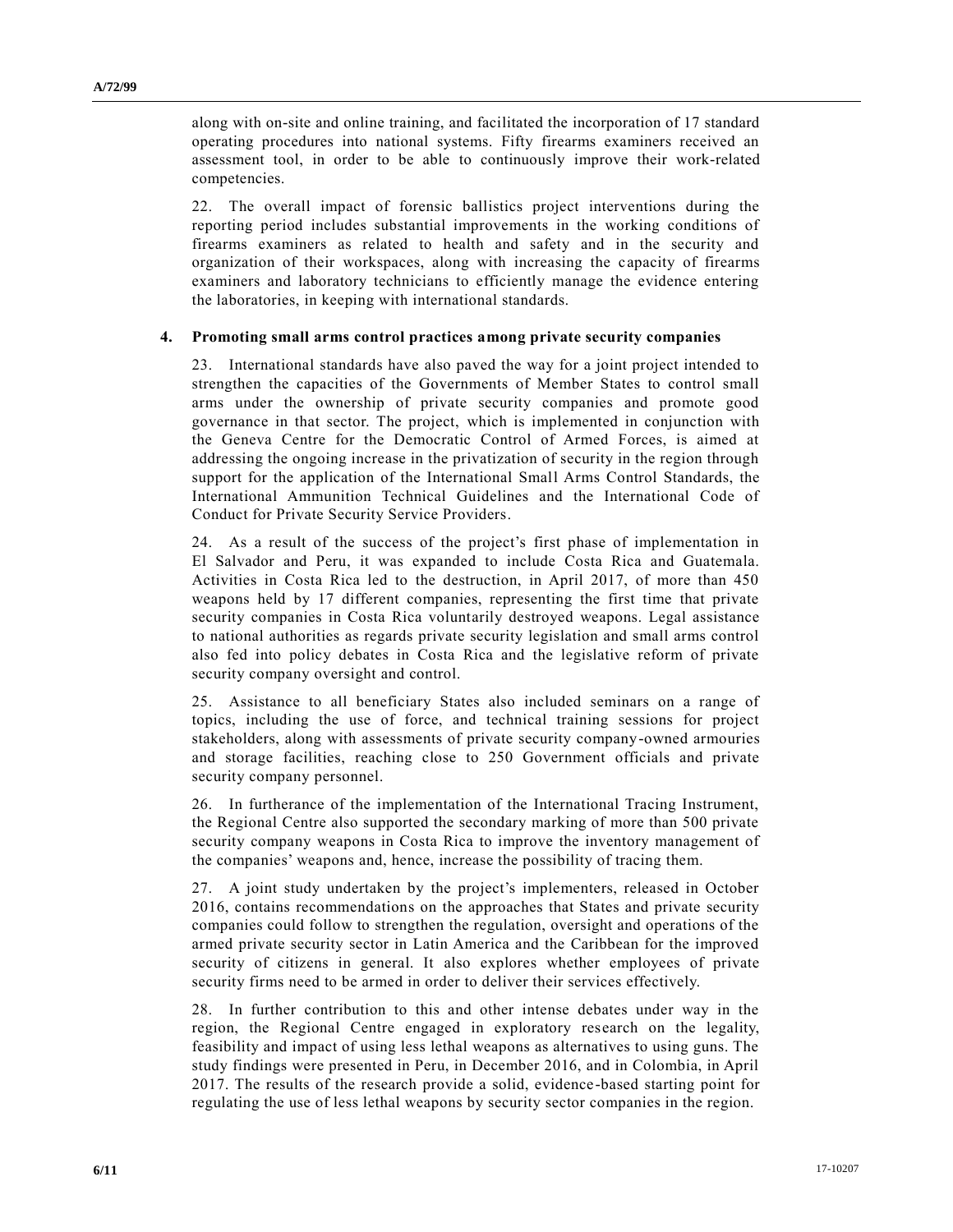along with on-site and online training, and facilitated the incorporation of 17 standard operating procedures into national systems. Fifty firearms examiners received an assessment tool, in order to be able to continuously improve their work-related competencies.

22. The overall impact of forensic ballistics project interventions during the reporting period includes substantial improvements in the working conditions of firearms examiners as related to health and safety and in the security and organization of their workspaces, along with increasing the capacity of firearms examiners and laboratory technicians to efficiently manage the evidence entering the laboratories, in keeping with international standards.

#### **4. Promoting small arms control practices among private security companies**

23. International standards have also paved the way for a joint project intended to strengthen the capacities of the Governments of Member States to control small arms under the ownership of private security companies and promote good governance in that sector. The project, which is implemented in conjunction with the Geneva Centre for the Democratic Control of Armed Forces, is aimed at addressing the ongoing increase in the privatization of security in the region through support for the application of the International Small Arms Control Standards, the International Ammunition Technical Guidelines and the International Code of Conduct for Private Security Service Providers.

24. As a result of the success of the project's first phase of implementation in El Salvador and Peru, it was expanded to include Costa Rica and Guatemala. Activities in Costa Rica led to the destruction, in April 2017, of more than 450 weapons held by 17 different companies, representing the first time that private security companies in Costa Rica voluntarily destroyed weapons. Legal assistance to national authorities as regards private security legislation and small arms control also fed into policy debates in Costa Rica and the legislative reform of private security company oversight and control.

25. Assistance to all beneficiary States also included seminars on a range of topics, including the use of force, and technical training sessions for project stakeholders, along with assessments of private security company-owned armouries and storage facilities, reaching close to 250 Government officials and private security company personnel.

26. In furtherance of the implementation of the International Tracing Instrument, the Regional Centre also supported the secondary marking of more than 500 private security company weapons in Costa Rica to improve the inventory management of the companies' weapons and, hence, increase the possibility of tracing them.

27. A joint study undertaken by the project's implementers, released in October 2016, contains recommendations on the approaches that States and private security companies could follow to strengthen the regulation, oversight and operations of the armed private security sector in Latin America and the Caribbean for the improved security of citizens in general. It also explores whether employees of private security firms need to be armed in order to deliver their services effectively.

28. In further contribution to this and other intense debates under way in the region, the Regional Centre engaged in exploratory research on the legality, feasibility and impact of using less lethal weapons as alternatives to using guns. The study findings were presented in Peru, in December 2016, and in Colombia, in April 2017. The results of the research provide a solid, evidence-based starting point for regulating the use of less lethal weapons by security sector companies in the region.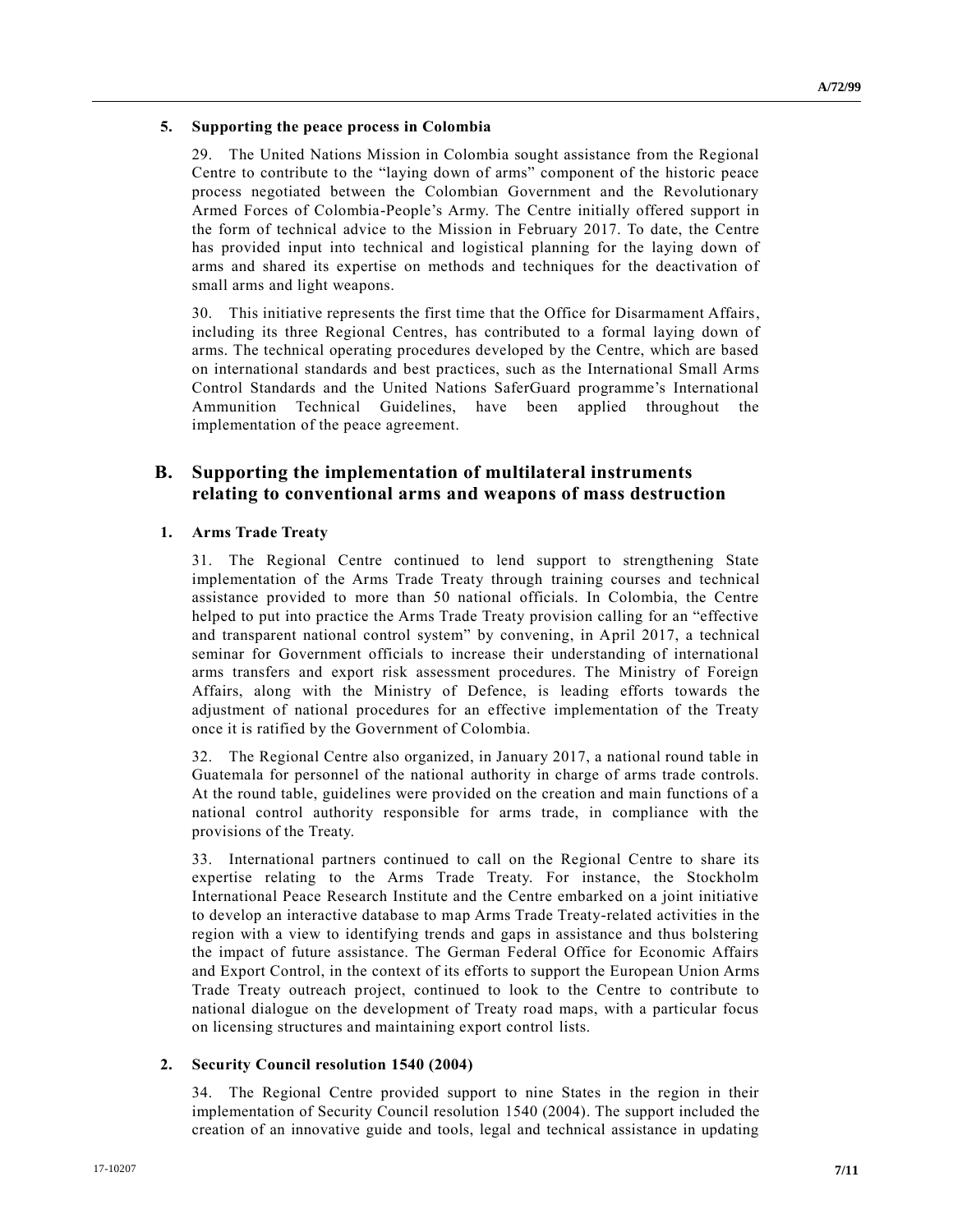### **5. Supporting the peace process in Colombia**

29. The United Nations Mission in Colombia sought assistance from the Regional Centre to contribute to the "laying down of arms" component of the historic peace process negotiated between the Colombian Government and the Revolutionary Armed Forces of Colombia-People's Army. The Centre initially offered support in the form of technical advice to the Mission in February 2017. To date, the Centre has provided input into technical and logistical planning for the laying down of arms and shared its expertise on methods and techniques for the deactivation of small arms and light weapons.

30. This initiative represents the first time that the Office for Disarmament Affairs, including its three Regional Centres, has contributed to a formal laying down of arms. The technical operating procedures developed by the Centre, which are based on international standards and best practices, such as the International Small Arms Control Standards and the United Nations SaferGuard programme's International Ammunition Technical Guidelines, have been applied throughout the implementation of the peace agreement.

## **B. Supporting the implementation of multilateral instruments relating to conventional arms and weapons of mass destruction**

#### **1. Arms Trade Treaty**

31. The Regional Centre continued to lend support to strengthening State implementation of the Arms Trade Treaty through training courses and technical assistance provided to more than 50 national officials. In Colombia, the Centre helped to put into practice the Arms Trade Treaty provision calling for an "effective and transparent national control system" by convening, in April 2017, a technical seminar for Government officials to increase their understanding of international arms transfers and export risk assessment procedures. The Ministry of Foreign Affairs, along with the Ministry of Defence, is leading efforts towards the adjustment of national procedures for an effective implementation of the Treaty once it is ratified by the Government of Colombia.

32. The Regional Centre also organized, in January 2017, a national round table in Guatemala for personnel of the national authority in charge of arms trade controls. At the round table, guidelines were provided on the creation and main functions of a national control authority responsible for arms trade, in compliance with the provisions of the Treaty.

33. International partners continued to call on the Regional Centre to share its expertise relating to the Arms Trade Treaty. For instance, the Stockholm International Peace Research Institute and the Centre embarked on a joint initiative to develop an interactive database to map Arms Trade Treaty-related activities in the region with a view to identifying trends and gaps in assistance and thus bolstering the impact of future assistance. The German Federal Office for Economic Affairs and Export Control, in the context of its efforts to support the European Union Arms Trade Treaty outreach project, continued to look to the Centre to contribute to national dialogue on the development of Treaty road maps, with a particular focus on licensing structures and maintaining export control lists.

### **2. Security Council resolution [1540 \(2004\)](https://undocs.org/S/RES/1540(2004))**

34. The Regional Centre provided support to nine States in the region in their implementation of Security Council resolution [1540 \(2004\).](https://undocs.org/S/RES/1540(2004)) The support included the creation of an innovative guide and tools, legal and technical assistance in updating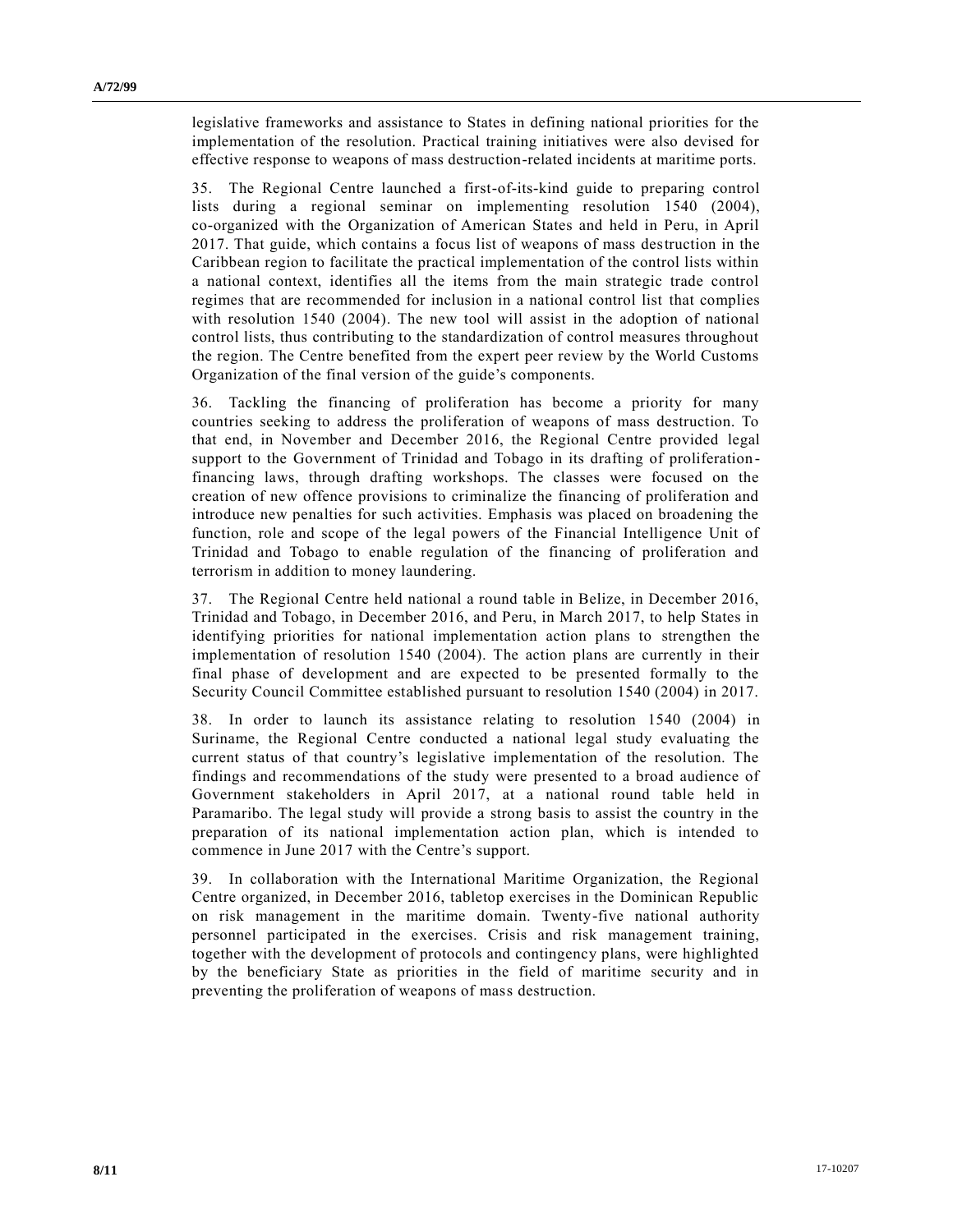legislative frameworks and assistance to States in defining national priorities for the implementation of the resolution. Practical training initiatives were also devised for effective response to weapons of mass destruction-related incidents at maritime ports.

35. The Regional Centre launched a first-of-its-kind guide to preparing control lists during a regional seminar on implementing resolution [1540 \(2004\),](https://undocs.org/S/RES/1540(2004)) co-organized with the Organization of American States and held in Peru, in April 2017. That guide, which contains a focus list of weapons of mass destruction in the Caribbean region to facilitate the practical implementation of the control lists within a national context, identifies all the items from the main strategic trade control regimes that are recommended for inclusion in a national control list that complies with resolution [1540 \(2004\).](https://undocs.org/S/RES/1540(2004)) The new tool will assist in the adoption of national control lists, thus contributing to the standardization of control measures throughout the region. The Centre benefited from the expert peer review by the World Customs Organization of the final version of the guide's components.

36. Tackling the financing of proliferation has become a priority for many countries seeking to address the proliferation of weapons of mass destruction. To that end, in November and December 2016, the Regional Centre provided legal support to the Government of Trinidad and Tobago in its drafting of proliferation financing laws, through drafting workshops. The classes were focused on the creation of new offence provisions to criminalize the financing of proliferation and introduce new penalties for such activities. Emphasis was placed on broadening the function, role and scope of the legal powers of the Financial Intelligence Unit of Trinidad and Tobago to enable regulation of the financing of proliferation and terrorism in addition to money laundering.

37. The Regional Centre held national a round table in Belize, in December 2016, Trinidad and Tobago, in December 2016, and Peru, in March 2017, to help States in identifying priorities for national implementation action plans to strengthen the implementation of resolution [1540 \(2004\).](https://undocs.org/S/RES/1540(2004)) The action plans are currently in their final phase of development and are expected to be presented formally to the Security Council Committee established pursuant to resolution [1540 \(2004\)](https://undocs.org/S/RES/1540(2004)) in 2017.

38. In order to launch its assistance relating to resolution [1540 \(2004\)](https://undocs.org/S/RES/1540(2004)) in Suriname, the Regional Centre conducted a national legal study evaluating the current status of that country's legislative implementation of the resolution. The findings and recommendations of the study were presented to a broad audience of Government stakeholders in April 2017, at a national round table held in Paramaribo. The legal study will provide a strong basis to assist the country in the preparation of its national implementation action plan, which is intended to commence in June 2017 with the Centre's support.

39. In collaboration with the International Maritime Organization, the Regional Centre organized, in December 2016, tabletop exercises in the Dominican Republic on risk management in the maritime domain. Twenty-five national authority personnel participated in the exercises. Crisis and risk management training, together with the development of protocols and contingency plans, were highlighted by the beneficiary State as priorities in the field of maritime security and in preventing the proliferation of weapons of mass destruction.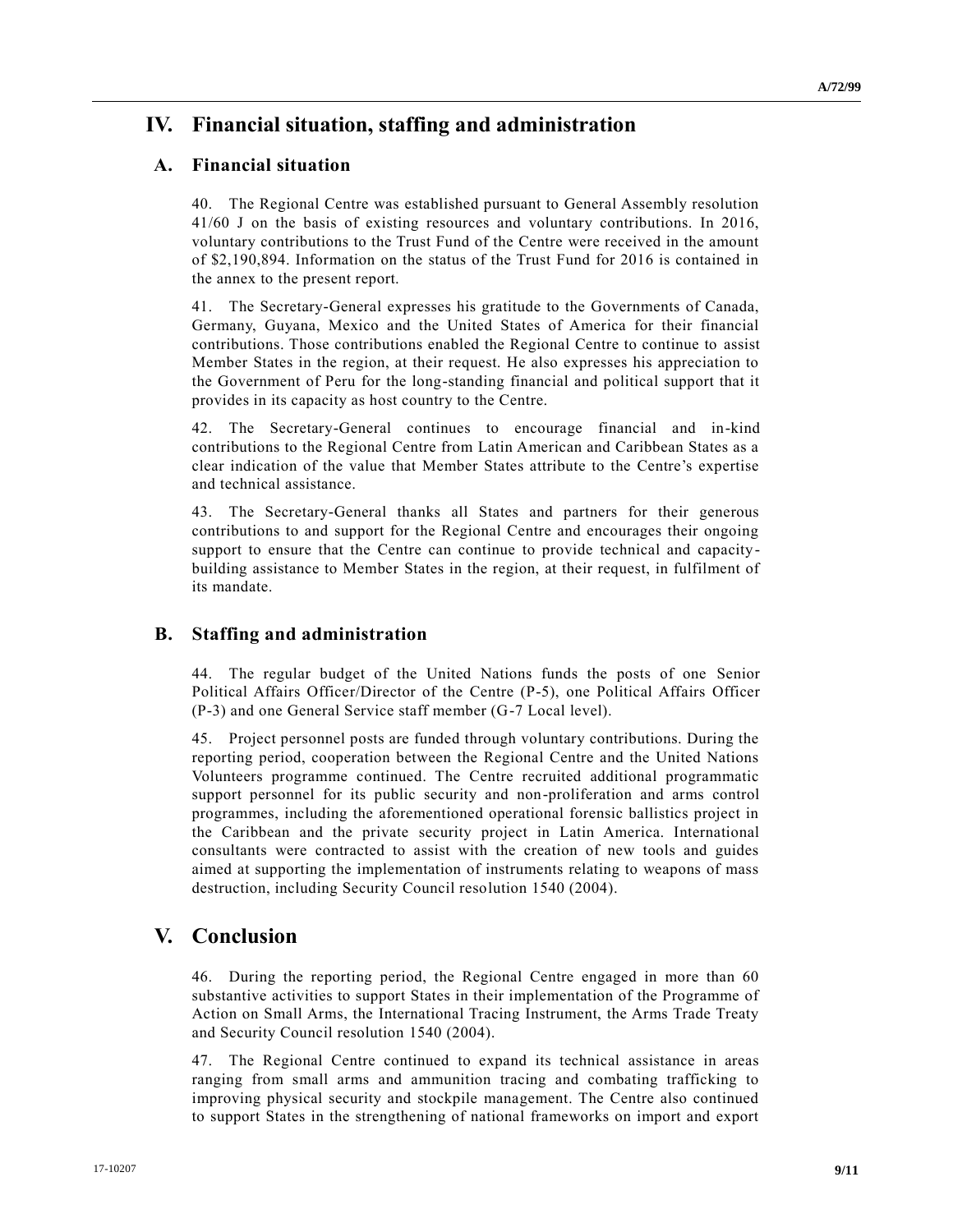## **IV. Financial situation, staffing and administration**

## **A. Financial situation**

40. The Regional Centre was established pursuant to General Assembly resolution [41/60](https://undocs.org/A/RES/41/60) J on the basis of existing resources and voluntary contributions. In 2016, voluntary contributions to the Trust Fund of the Centre were received in the amount of \$2,190,894. Information on the status of the Trust Fund for 2016 is contained in the annex to the present report.

41. The Secretary-General expresses his gratitude to the Governments of Canada, Germany, Guyana, Mexico and the United States of America for their financial contributions. Those contributions enabled the Regional Centre to continue to assist Member States in the region, at their request. He also expresses his appreciation to the Government of Peru for the long-standing financial and political support that it provides in its capacity as host country to the Centre.

42. The Secretary-General continues to encourage financial and in-kind contributions to the Regional Centre from Latin American and Caribbean States as a clear indication of the value that Member States attribute to the Centre's expertise and technical assistance.

43. The Secretary-General thanks all States and partners for their generous contributions to and support for the Regional Centre and encourages their ongoing support to ensure that the Centre can continue to provide technical and capacitybuilding assistance to Member States in the region, at their request, in fulfilment of its mandate.

## **B. Staffing and administration**

44. The regular budget of the United Nations funds the posts of one Senior Political Affairs Officer/Director of the Centre (P-5), one Political Affairs Officer (P-3) and one General Service staff member (G-7 Local level).

45. Project personnel posts are funded through voluntary contributions. During the reporting period, cooperation between the Regional Centre and the United Nations Volunteers programme continued. The Centre recruited additional programmatic support personnel for its public security and non-proliferation and arms control programmes, including the aforementioned operational forensic ballistics project in the Caribbean and the private security project in Latin America. International consultants were contracted to assist with the creation of new tools and guides aimed at supporting the implementation of instruments relating to weapons of mass destruction, including Security Council resolution [1540 \(2004\).](https://undocs.org/S/RES/1540(2004))

## **V. Conclusion**

46. During the reporting period, the Regional Centre engaged in more than 60 substantive activities to support States in their implementation of the Programme of Action on Small Arms, the International Tracing Instrument, the Arms Trade Treaty and Security Council resolution [1540 \(2004\).](https://undocs.org/S/RES/1540(2004))

47. The Regional Centre continued to expand its technical assistance in areas ranging from small arms and ammunition tracing and combating trafficking to improving physical security and stockpile management. The Centre also continued to support States in the strengthening of national frameworks on import and export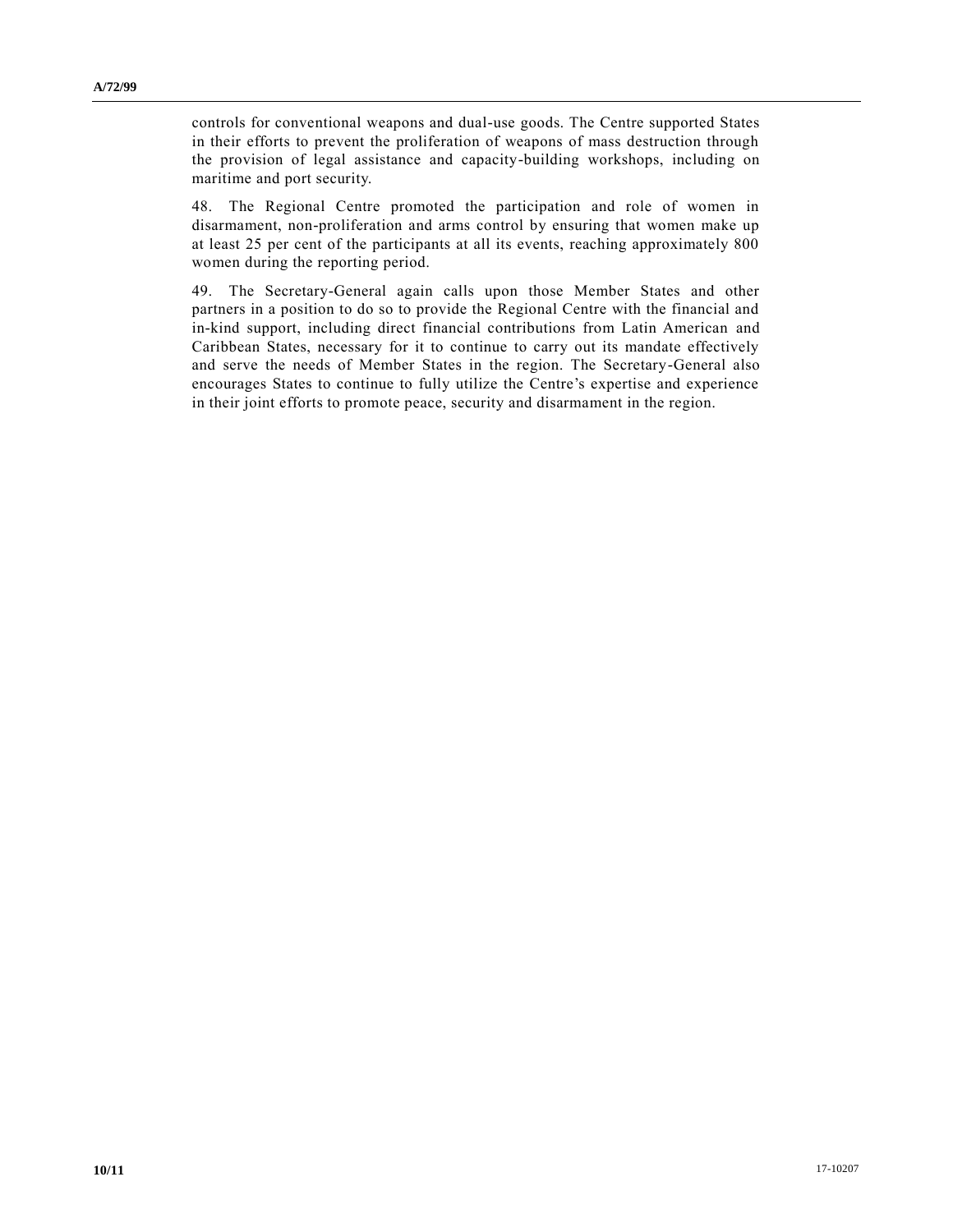controls for conventional weapons and dual-use goods. The Centre supported States in their efforts to prevent the proliferation of weapons of mass destruction through the provision of legal assistance and capacity-building workshops, including on maritime and port security.

48. The Regional Centre promoted the participation and role of women in disarmament, non-proliferation and arms control by ensuring that women make up at least 25 per cent of the participants at all its events, reaching approximately 800 women during the reporting period.

49. The Secretary-General again calls upon those Member States and other partners in a position to do so to provide the Regional Centre with the financial and in-kind support, including direct financial contributions from Latin American and Caribbean States, necessary for it to continue to carry out its mandate effectively and serve the needs of Member States in the region. The Secretary-General also encourages States to continue to fully utilize the Centre's expertise and experience in their joint efforts to promote peace, security and disarmament in the region.